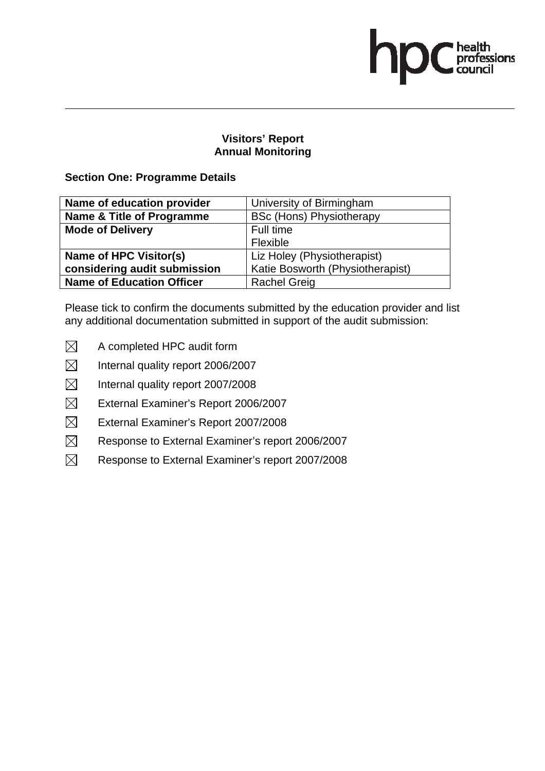health<br>professions<br>council

## **Section One: Programme Details**

| Name of education provider       | University of Birmingham         |
|----------------------------------|----------------------------------|
| Name & Title of Programme        | <b>BSc (Hons) Physiotherapy</b>  |
| <b>Mode of Delivery</b>          | Full time                        |
|                                  | Flexible                         |
| Name of HPC Visitor(s)           | Liz Holey (Physiotherapist)      |
| considering audit submission     | Katie Bosworth (Physiotherapist) |
| <b>Name of Education Officer</b> | <b>Rachel Greig</b>              |

- $\boxtimes$  A completed HPC audit form
- $\boxtimes$  Internal quality report 2006/2007
- $\boxtimes$  Internal quality report 2007/2008
- $\boxtimes$  External Examiner's Report 2006/2007
- $\boxtimes$  External Examiner's Report 2007/2008
- $\boxtimes$  Response to External Examiner's report 2006/2007
- $\boxtimes$  Response to External Examiner's report 2007/2008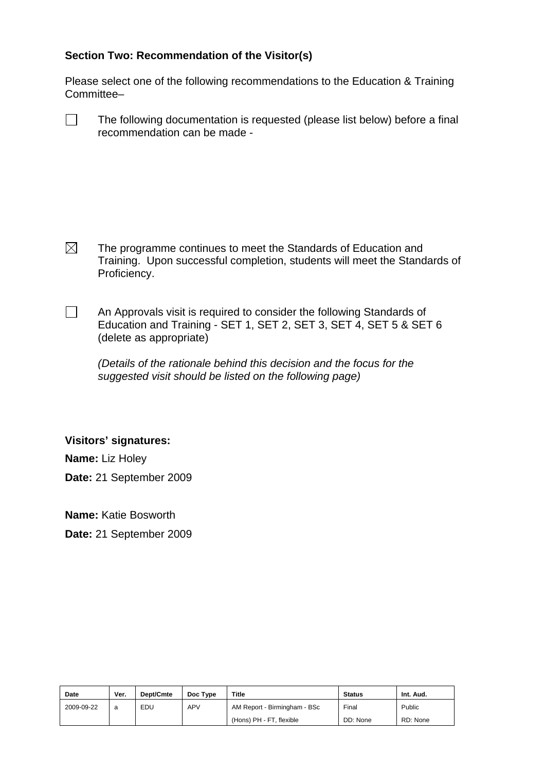Please select one of the following recommendations to the Education & Training Committee–

 $\Box$  The following documentation is requested (please list below) before a final recommendation can be made -

 $\boxtimes$  The programme continues to meet the Standards of Education and Training. Upon successful completion, students will meet the Standards of Proficiency.

 $\Box$  An Approvals visit is required to consider the following Standards of Education and Training - SET 1, SET 2, SET 3, SET 4, SET 5 & SET 6 (delete as appropriate)

*(Details of the rationale behind this decision and the focus for the suggested visit should be listed on the following page)* 

### **Visitors' signatures:**

**Name:** Liz Holey

**Date:** 21 September 2009

**Name:** Katie Bosworth

**Date:** 21 September 2009

| <b>Date</b> | Ver. | Dept/Cmte | Doc Type   | Title                        | <b>Status</b> | Int. Aud. |
|-------------|------|-----------|------------|------------------------------|---------------|-----------|
| 2009-09-22  | a    | EDU       | <b>APV</b> | AM Report - Birmingham - BSc | Final         | Public    |
|             |      |           |            | (Hons) PH - FT, flexible     | DD: None      | RD: None  |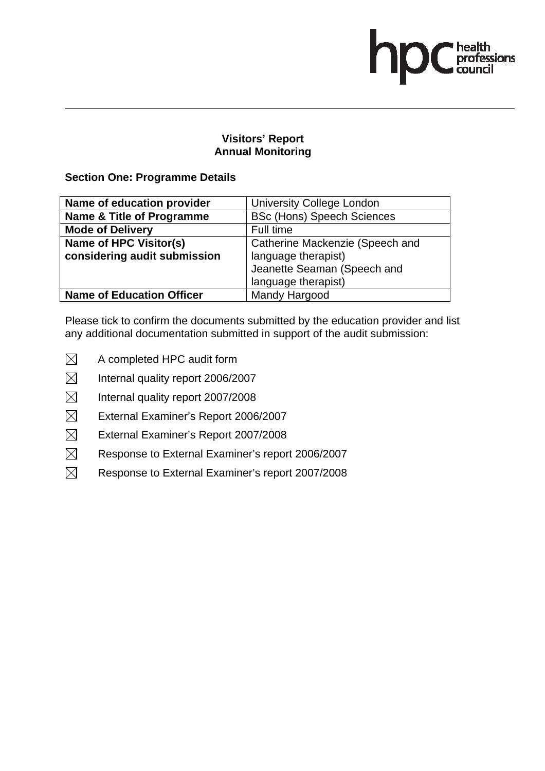# <sup>'</sup> health<br>professions<br>council

## **Visitors' Report Annual Monitoring**

## **Section One: Programme Details**

| Name of education provider       | <b>University College London</b>  |
|----------------------------------|-----------------------------------|
| Name & Title of Programme        | <b>BSc (Hons) Speech Sciences</b> |
| <b>Mode of Delivery</b>          | Full time                         |
| Name of HPC Visitor(s)           | Catherine Mackenzie (Speech and   |
| considering audit submission     | language therapist)               |
|                                  | Jeanette Seaman (Speech and       |
|                                  | language therapist)               |
| <b>Name of Education Officer</b> | Mandy Hargood                     |

- $\boxtimes$  A completed HPC audit form
- $\boxtimes$  Internal quality report 2006/2007
- $\boxtimes$  Internal quality report 2007/2008
- $\boxtimes$  External Examiner's Report 2006/2007
- $\boxtimes$  External Examiner's Report 2007/2008
- $\boxtimes$  Response to External Examiner's report 2006/2007
- $\boxtimes$  Response to External Examiner's report 2007/2008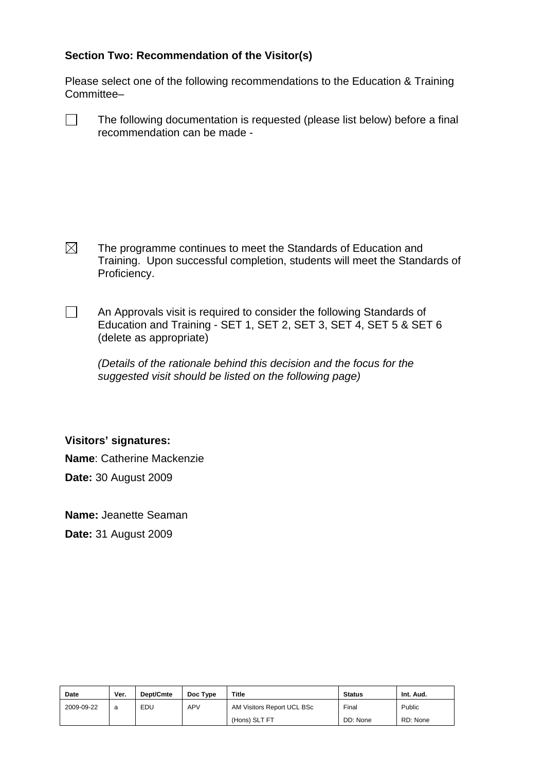Please select one of the following recommendations to the Education & Training Committee–

 $\Box$  The following documentation is requested (please list below) before a final recommendation can be made -

 $\boxtimes$  The programme continues to meet the Standards of Education and Training. Upon successful completion, students will meet the Standards of Proficiency.

 $\Box$  An Approvals visit is required to consider the following Standards of Education and Training - SET 1, SET 2, SET 3, SET 4, SET 5 & SET 6 (delete as appropriate)

*(Details of the rationale behind this decision and the focus for the suggested visit should be listed on the following page)* 

### **Visitors' signatures:**

**Name**: Catherine Mackenzie

**Date:** 30 August 2009

**Name:** Jeanette Seaman

**Date:** 31 August 2009

| <b>Date</b> | Ver. | Dept/Cmte | Doc Type   | Title                      | <b>Status</b> | Int. Aud. |
|-------------|------|-----------|------------|----------------------------|---------------|-----------|
| 2009-09-22  | a    | EDU       | <b>APV</b> | AM Visitors Report UCL BSc | Final         | Public    |
|             |      |           |            | (Hons) SLT FT              | DD: None      | RD: None  |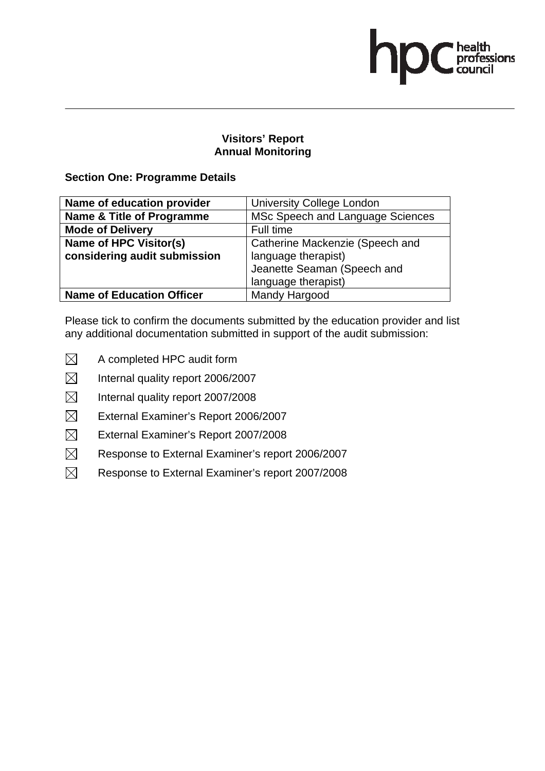# <sup>'</sup> health<br>professions<br>council

## **Visitors' Report Annual Monitoring**

## **Section One: Programme Details**

| Name of education provider       | <b>University College London</b> |
|----------------------------------|----------------------------------|
| Name & Title of Programme        | MSc Speech and Language Sciences |
| <b>Mode of Delivery</b>          | Full time                        |
| Name of HPC Visitor(s)           | Catherine Mackenzie (Speech and  |
| considering audit submission     | language therapist)              |
|                                  | Jeanette Seaman (Speech and      |
|                                  | language therapist)              |
| <b>Name of Education Officer</b> | Mandy Hargood                    |

- $\boxtimes$  A completed HPC audit form
- $\boxtimes$  Internal quality report 2006/2007
- $\boxtimes$  Internal quality report 2007/2008
- $\boxtimes$  External Examiner's Report 2006/2007
- $\boxtimes$  External Examiner's Report 2007/2008
- $\boxtimes$  Response to External Examiner's report 2006/2007
- $\boxtimes$  Response to External Examiner's report 2007/2008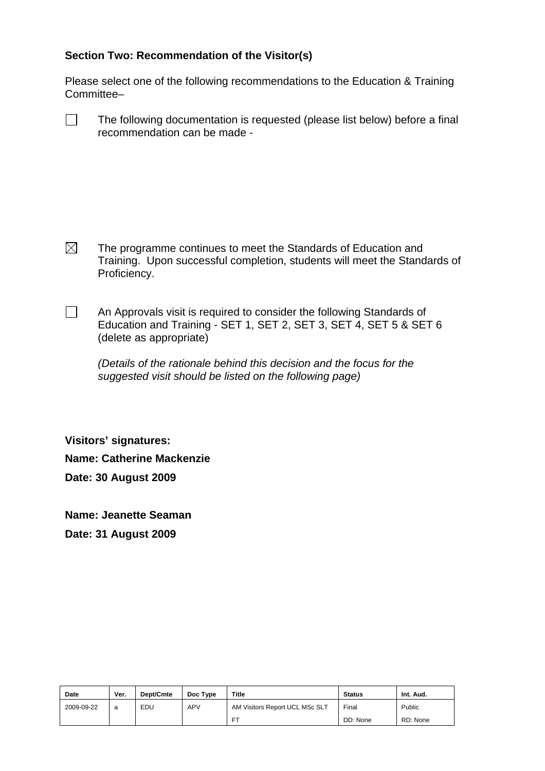Please select one of the following recommendations to the Education & Training Committee–

 $\Box$  The following documentation is requested (please list below) before a final recommendation can be made -

 $\boxtimes$  The programme continues to meet the Standards of Education and Training. Upon successful completion, students will meet the Standards of Proficiency.

 $\Box$  An Approvals visit is required to consider the following Standards of Education and Training - SET 1, SET 2, SET 3, SET 4, SET 5 & SET 6 (delete as appropriate)

*(Details of the rationale behind this decision and the focus for the suggested visit should be listed on the following page)* 

**Visitors' signatures: Name: Catherine Mackenzie Date: 30 August 2009** 

**Name: Jeanette Seaman** 

**Date: 31 August 2009** 

| <b>Date</b> | Ver. | Dept/Cmte | Doc Type   | <b>Title</b>                   | <b>Status</b> | Int. Aud. |
|-------------|------|-----------|------------|--------------------------------|---------------|-----------|
| 2009-09-22  | a    | EDU       | <b>APV</b> | AM Visitors Report UCL MSc SLT | Final         | Public    |
|             |      |           |            | FT                             | DD: None      | RD: None  |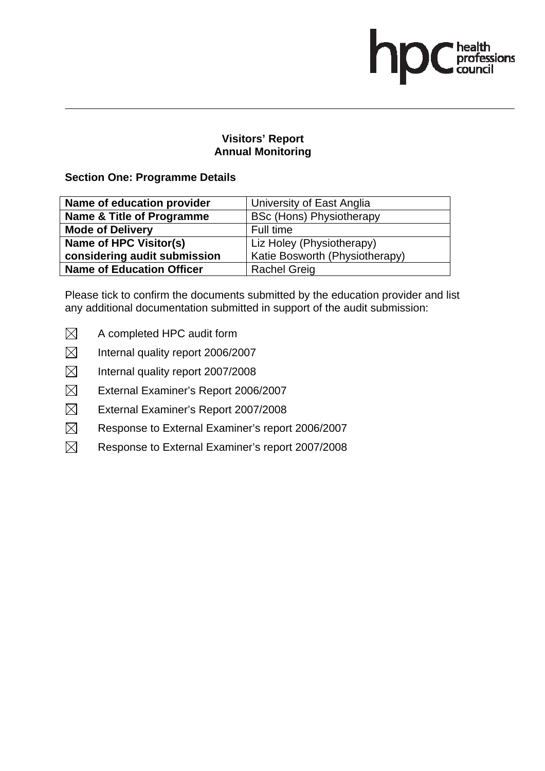health<br>professions<br>council

## **Section One: Programme Details**

| Name of education provider       | University of East Anglia       |
|----------------------------------|---------------------------------|
| Name & Title of Programme        | <b>BSc (Hons) Physiotherapy</b> |
| <b>Mode of Delivery</b>          | Full time                       |
| Name of HPC Visitor(s)           | Liz Holey (Physiotherapy)       |
| considering audit submission     | Katie Bosworth (Physiotherapy)  |
| <b>Name of Education Officer</b> | <b>Rachel Greig</b>             |

- $\boxtimes$  A completed HPC audit form
- $\boxtimes$  Internal quality report 2006/2007
- $\boxtimes$  Internal quality report 2007/2008
- $\boxtimes$  External Examiner's Report 2006/2007
- $\boxtimes$  External Examiner's Report 2007/2008
- $\boxtimes$  Response to External Examiner's report 2006/2007
- $\boxtimes$  Response to External Examiner's report 2007/2008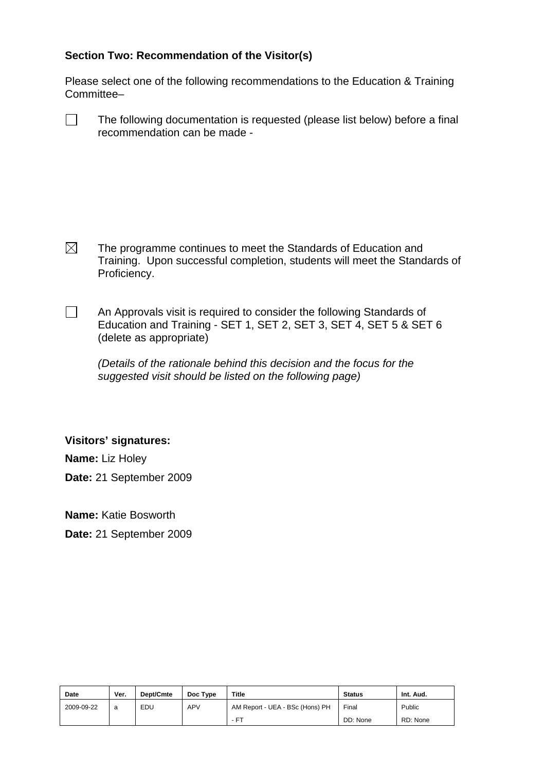Please select one of the following recommendations to the Education & Training Committee–

 $\Box$  The following documentation is requested (please list below) before a final recommendation can be made -

 $\boxtimes$  The programme continues to meet the Standards of Education and Training. Upon successful completion, students will meet the Standards of Proficiency.

 $\Box$  An Approvals visit is required to consider the following Standards of Education and Training - SET 1, SET 2, SET 3, SET 4, SET 5 & SET 6 (delete as appropriate)

*(Details of the rationale behind this decision and the focus for the suggested visit should be listed on the following page)* 

### **Visitors' signatures:**

**Name:** Liz Holey

**Date:** 21 September 2009

**Name:** Katie Bosworth

**Date:** 21 September 2009

| <b>Date</b> | Ver. | Dept/Cmte | Doc Type   | <b>Title</b>                    | <b>Status</b> | Int. Aud. |
|-------------|------|-----------|------------|---------------------------------|---------------|-----------|
| 2009-09-22  | a    | EDU       | <b>APV</b> | AM Report - UEA - BSc (Hons) PH | Final         | Public    |
|             |      |           |            | - FT                            | DD: None      | RD: None  |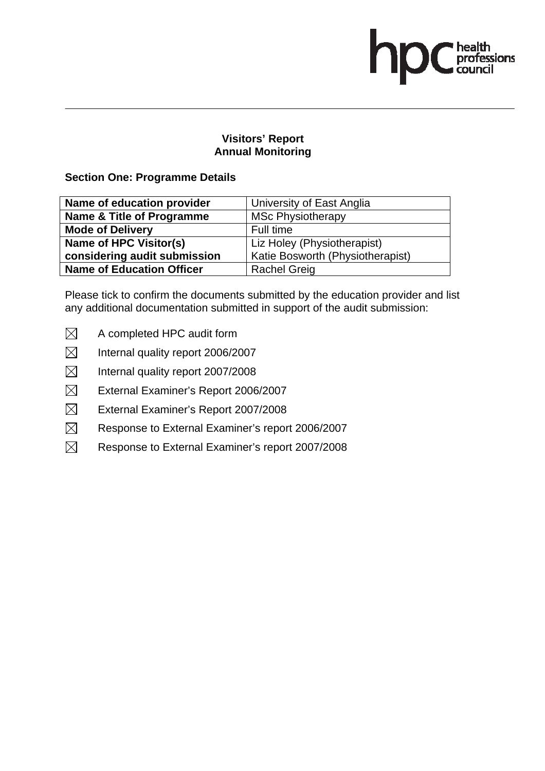health<br>professions<br>council

## **Section One: Programme Details**

| Name of education provider       | University of East Anglia        |
|----------------------------------|----------------------------------|
| Name & Title of Programme        | <b>MSc Physiotherapy</b>         |
| <b>Mode of Delivery</b>          | Full time                        |
| Name of HPC Visitor(s)           | Liz Holey (Physiotherapist)      |
| considering audit submission     | Katie Bosworth (Physiotherapist) |
| <b>Name of Education Officer</b> | <b>Rachel Greig</b>              |

- $\boxtimes$  A completed HPC audit form
- $\boxtimes$  Internal quality report 2006/2007
- $\boxtimes$  Internal quality report 2007/2008
- $\boxtimes$  External Examiner's Report 2006/2007
- $\boxtimes$  External Examiner's Report 2007/2008
- $\boxtimes$  Response to External Examiner's report 2006/2007
- $\boxtimes$  Response to External Examiner's report 2007/2008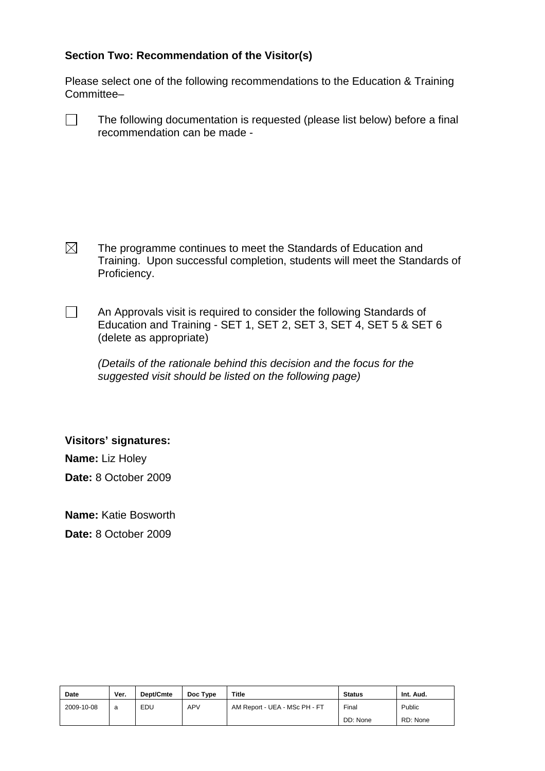Please select one of the following recommendations to the Education & Training Committee–

 $\Box$  The following documentation is requested (please list below) before a final recommendation can be made -

 $\boxtimes$  The programme continues to meet the Standards of Education and Training. Upon successful completion, students will meet the Standards of Proficiency.

 $\Box$  An Approvals visit is required to consider the following Standards of Education and Training - SET 1, SET 2, SET 3, SET 4, SET 5 & SET 6 (delete as appropriate)

*(Details of the rationale behind this decision and the focus for the suggested visit should be listed on the following page)* 

**Visitors' signatures:** 

**Name:** Liz Holey

**Date:** 8 October 2009

**Name:** Katie Bosworth

**Date:** 8 October 2009

| <b>Date</b> | Ver. | Dept/Cmte | Doc Type   | <b>Title</b>                  | <b>Status</b> | Int. Aud. |
|-------------|------|-----------|------------|-------------------------------|---------------|-----------|
| 2009-10-08  | a    | EDU       | <b>APV</b> | AM Report - UEA - MSc PH - FT | Final         | Public    |
|             |      |           |            |                               | DD: None      | RD: None  |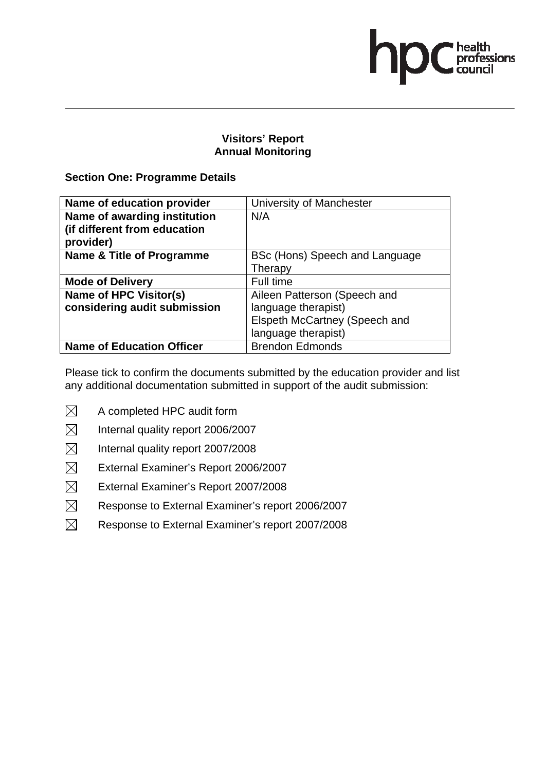health<br>professions<br>council

## **Section One: Programme Details**

| Name of education provider       | University of Manchester       |
|----------------------------------|--------------------------------|
| Name of awarding institution     | N/A                            |
| (if different from education     |                                |
| provider)                        |                                |
| Name & Title of Programme        | BSc (Hons) Speech and Language |
|                                  | Therapy                        |
| <b>Mode of Delivery</b>          | Full time                      |
| <b>Name of HPC Visitor(s)</b>    | Aileen Patterson (Speech and   |
| considering audit submission     | language therapist)            |
|                                  | Elspeth McCartney (Speech and  |
|                                  | language therapist)            |
| <b>Name of Education Officer</b> | <b>Brendon Edmonds</b>         |

- $\boxtimes$  A completed HPC audit form
- $\boxtimes$  Internal quality report 2006/2007
- $\boxtimes$  Internal quality report 2007/2008
- $\boxtimes$  External Examiner's Report 2006/2007
- $\boxtimes$  External Examiner's Report 2007/2008
- $\boxtimes$  Response to External Examiner's report 2006/2007
- $\boxtimes$  Response to External Examiner's report 2007/2008